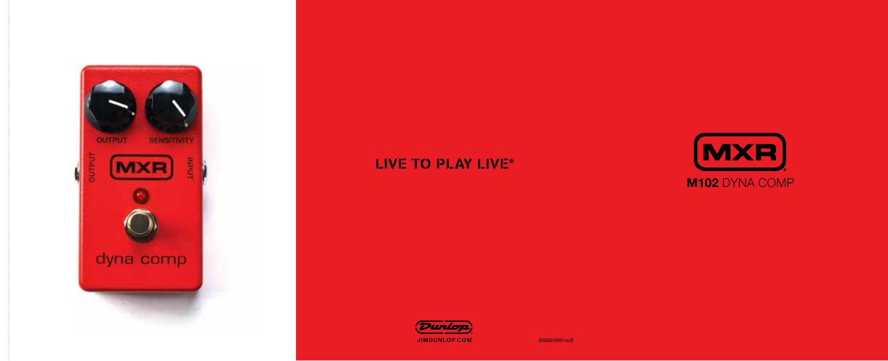

## LIVE TO PLAY LIVE®



92503016097revB